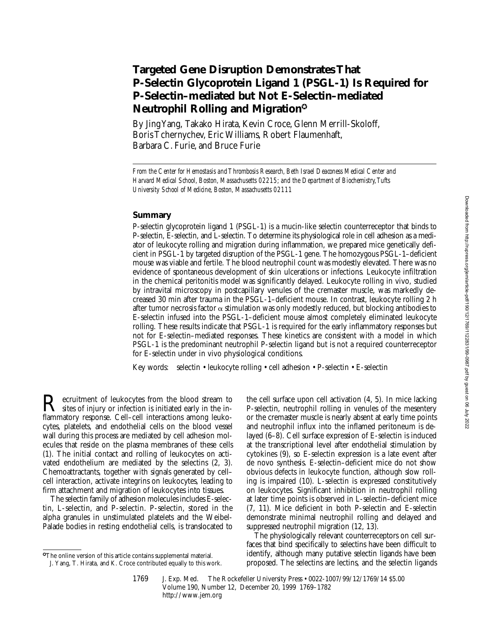# **Targeted Gene Disruption Demonstrates That P-Selectin Glycoprotein Ligand 1 (PSGL-1) Is Required for P-Selectin–mediated but Not E-Selectin–mediated Neutrophil Rolling and Migration**✪

By Jing Yang, Takako Hirata, Kevin Croce, Glenn Merrill-Skoloff, Boris Tchernychev, Eric Williams, Robert Flaumenhaft, Barbara C. Furie, and Bruce Furie

*From the Center for Hemostasis and Thrombosis Research, Beth Israel Deaconess Medical Center and Harvard Medical School, Boston, Massachusetts 02215; and the Department of Biochemistry, Tufts University School of Medicine, Boston, Massachusetts 02111*

## **Summary**

P-selectin glycoprotein ligand 1 (PSGL-1) is a mucin-like selectin counterreceptor that binds to P-selectin, E-selectin, and L-selectin. To determine its physiological role in cell adhesion as a mediator of leukocyte rolling and migration during inflammation, we prepared mice genetically deficient in PSGL-1 by targeted disruption of the PSGL-1 gene. The homozygous PSGL-1–deficient mouse was viable and fertile. The blood neutrophil count was modestly elevated. There was no evidence of spontaneous development of skin ulcerations or infections. Leukocyte infiltration in the chemical peritonitis model was significantly delayed. Leukocyte rolling in vivo, studied by intravital microscopy in postcapillary venules of the cremaster muscle, was markedly decreased 30 min after trauma in the PSGL-1–deficient mouse. In contrast, leukocyte rolling 2 h after tumor necrosis factor  $\alpha$  stimulation was only modestly reduced, but blocking antibodies to E-selectin infused into the PSGL-1–deficient mouse almost completely eliminated leukocyte rolling. These results indicate that PSGL-1 is required for the early inflammatory responses but not for E-selectin–mediated responses. These kinetics are consistent with a model in which PSGL-1 is the predominant neutrophil P-selectin ligand but is not a required counterreceptor for E-selectin under in vivo physiological conditions.

Key words: selectin • leukocyte rolling • cell adhesion • P-selectin • E-selectin

Recruitment of leukocytes from the blood stream to<br>sites of injury or infection is initiated early in the inflammatory response. Cell–cell interactions among leukocytes, platelets, and endothelial cells on the blood vessel wall during this process are mediated by cell adhesion molecules that reside on the plasma membranes of these cells (1). The initial contact and rolling of leukocytes on activated endothelium are mediated by the selectins (2, 3). Chemoattractants, together with signals generated by cell– cell interaction, activate integrins on leukocytes, leading to firm attachment and migration of leukocytes into tissues.

The selectin family of adhesion molecules includes E-selectin, L-selectin, and P-selectin. P-selectin, stored in the alpha granules in unstimulated platelets and the Weibel-Palade bodies in resting endothelial cells, is translocated to

✪The online version of this article contains supplemental material.

the cell surface upon cell activation (4, 5). In mice lacking P-selectin, neutrophil rolling in venules of the mesentery or the cremaster muscle is nearly absent at early time points and neutrophil influx into the inflamed peritoneum is delayed (6–8). Cell surface expression of E-selectin is induced at the transcriptional level after endothelial stimulation by cytokines (9), so E-selectin expression is a late event after de novo synthesis. E-selectin–deficient mice do not show obvious defects in leukocyte function, although slow rolling is impaired (10). L-selectin is expressed constitutively on leukocytes. Significant inhibition in neutrophil rolling at later time points is observed in L-selectin–deficient mice (7, 11). Mice deficient in both P-selectin and E-selectin demonstrate minimal neutrophil rolling and delayed and suppressed neutrophil migration (12, 13).

The physiologically relevant counterreceptors on cell surfaces that bind specifically to selectins have been difficult to identify, although many putative selectin ligands have been proposed. The selectins are lectins, and the selectin ligands

J. Yang, T. Hirata, and K. Croce contributed equally to this work.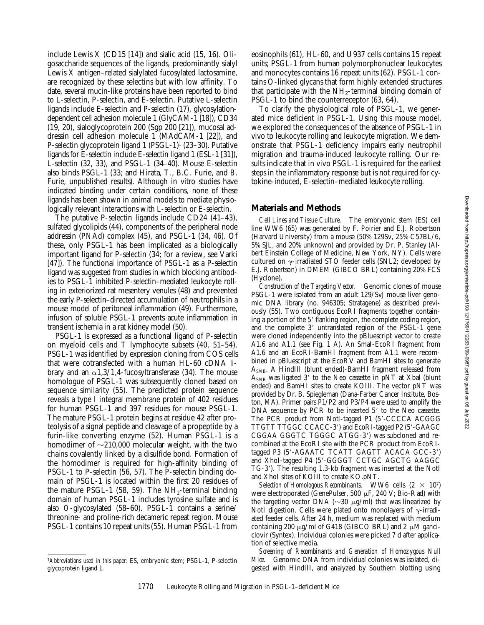include Lewis X (CD15 [14]) and sialic acid  $(15, 16)$ . Oligosaccharide sequences of the ligands, predominantly sialyl Lewis X antigen–related sialylated fucosylated lactosamine, are recognized by these selectins but with low affinity. To date, several mucin-like proteins have been reported to bind to L-selectin, P-selectin, and E-selectin. Putative L-selectin ligands include E-selectin and P-selectin (17), glycosylationdependent cell adhesion molecule 1 (GlyCAM-1 [18]), CD34 (19, 20), sialoglycoprotein 200 (Sgp 200 [21]), mucosal addressin cell adhesion molecule 1 (MAdCAM-1 [22]), and P-selectin glycoprotein ligand 1 (PSGL-1)<sup>1</sup> (23–30). Putative ligands for E-selectin include E-selectin ligand 1 (ESL-1 [31]), L-selectin (32, 33), and PSGL-1 (34–40). Mouse E-selectin also binds PSGL-1 (33; and Hirata, T., B.C. Furie, and B. Furie, unpublished results). Although in vitro studies have indicated binding under certain conditions, none of these ligands has been shown in animal models to mediate physiologically relevant interactions with L-selectin or E-selectin.

The putative P-selectin ligands include CD24 (41–43), sulfated glycolipids (44), components of the peripheral node addressin (PNAd) complex (45), and PSGL-1 (34, 46). Of these, only PSGL-1 has been implicated as a biologically important ligand for P-selectin (34; for a review, see Varki [47]). The functional importance of PSGL-1 as a P-selectin ligand was suggested from studies in which blocking antibodies to PSGL-1 inhibited P-selectin–mediated leukocyte rolling in exteriorized rat mesentery venules (48) and prevented the early P-selectin–directed accumulation of neutrophils in a mouse model of peritoneal inflammation (49). Furthermore, infusion of soluble PSGL-1 prevents acute inflammation in transient ischemia in a rat kidney model (50).

PSGL-1 is expressed as a functional ligand of P-selectin on myeloid cells and T lymphocyte subsets (40, 51–54). PSGL-1 was identified by expression cloning from COS cells that were cotransfected with a human HL-60 cDNA library and an  $\alpha$ 1,3/1,4-fucosyltransferase (34). The mouse homologue of PSGL-1 was subsequently cloned based on sequence similarity (55). The predicted protein sequence reveals a type I integral membrane protein of 402 residues for human PSGL-1 and 397 residues for mouse PSGL-1. The mature PSGL-1 protein begins at residue 42 after proteolysis of a signal peptide and cleavage of a propeptide by a furin-like converting enzyme (52). Human PSGL-1 is a homodimer of  $\sim$ 210,000 molecular weight, with the two chains covalently linked by a disulfide bond. Formation of the homodimer is required for high-affinity binding of PSGL-1 to P-selectin (56, 57). The P-selectin binding domain of PSGL-1 is located within the first 20 residues of the mature PSGL-1 (58, 59). The  $NH_2$ -terminal binding domain of human PSGL-1 includes tyrosine sulfate and is also *O*-glycosylated (58–60). PSGL-1 contains a serine/ threonine- and proline-rich decameric repeat region. Mouse PSGL-1 contains 10 repeat units (55). Human PSGL-1 from

eosinophils (61), HL-60, and U937 cells contains 15 repeat units; PSGL-1 from human polymorphonuclear leukocytes and monocytes contains 16 repeat units (62). PSGL-1 contains O-linked glycans that form highly extended structures that participate with the  $NH_2$ -terminal binding domain of PSGL-1 to bind the counterreceptor (63, 64).

To clarify the physiological role of PSGL-1, we generated mice deficient in PSGL-1. Using this mouse model, we explored the consequences of the absence of PSGL-1 in vivo to leukocyte rolling and leukocyte migration. We demonstrate that PSGL-1 deficiency impairs early neutrophil migration and trauma-induced leukocyte rolling. Our results indicate that in vivo PSGL-1 is required for the earliest steps in the inflammatory response but is not required for cytokine-induced, E-selectin–mediated leukocyte rolling.

#### **Materials and Methods**

*Cell Lines and Tissue Culture.* The embryonic stem (ES) cell line WW6 (65) was generated by F. Poirier and E.J. Robertson (Harvard University) from a mouse (50% 129Sv, 25% C57BL/6, 5% SJL, and 20% unknown) and provided by Dr. P. Stanley (Albert Einstein College of Medicine, New York, NY). Cells were cultured on  $\gamma$ -irradiated STO feeder cells (SNL2; developed by E.J. Robertson) in DMEM (GIBCO BRL) containing 20% FCS (Hyclone).

*Construction of the Targeting Vector.* Genomic clones of mouse PSGL-1 were isolated from an adult 129/SvJ mouse liver genomic DNA library (no. 946305; Stratagene) as described previously (55). Two contiguous EcoRI fragments together containing a portion of the 5' flanking region, the complete coding region, and the complete 3' untranslated region of the PSGL-1 gene were cloned independently into the pBluescript vector to create A1.6 and A1.1 (see Fig. 1 A). An SmaI-EcoRI fragment from A1.6 and an EcoRI-BamHI fragment from A1.1 were recombined in pBluescript at the EcoRV and BamHI sites to generate A<sub>SMB</sub>. A HindIII (blunt ended)-BamHI fragment released from  $A<sub>SMB</sub>$  was ligated 3' to the Neo cassette in pNT at Xbal (blunt ended) and BamHI sites to create KOIII. The vector pNT was provided by Dr. B. Spiegleman (Dana-Farber Cancer Institute, Boston, MA). Primer pairs P1/P2 and P3/P4 were used to amplify the DNA sequence by PCR to be inserted 5' to the Neo cassette. The PCR product from NotI-tagged P1 (5'-CCCCA ACGGG TTGTT TTGGC CCACC-3') and EcoRI-tagged P2 (5'-GAAGC CGGAA GGGTC TGGGC ATGG-3') was subcloned and recombined at the EcoRI site with the PCR product from EcoRItagged P3 (5'-AGAATC TCATT GAGTT ACACA GCC-3') and XhoI-tagged P4 (5'-GGGGT CCTGC AGCTG AAGGC TG-3'). The resulting 1.3-kb fragment was inserted at the NotI and XhoI sites of KOIII to create KO.pNT.

*Selection of Homologous Recombinants.* WW6 cells  $(2 \times 10^7)$ were electroporated (GenePulser, 500  $\mu$ F, 240 V; Bio-Rad) with the targeting vector DNA ( $\sim$ 30  $\mu$ g/ml) that was linearized by NotI digestion. Cells were plated onto monolayers of  $\gamma$ -irradiated feeder cells. After 24 h, medium was replaced with medium containing 200  $\mu$ g/ml of G418 (GIBCO BRL) and 2  $\mu$ M ganciclovir (Syntex). Individual colonies were picked 7 d after application of selective media.

*Screening of Recombinants and Generation of Homozygous Null Mice.* Genomic DNA from individual colonies was isolated, digested with HindIII, and analyzed by Southern blotting using

<sup>1</sup>*Abbreviations used in this paper:* ES, embryonic stem; PSGL-1, P-selectin glycoprotein ligand 1.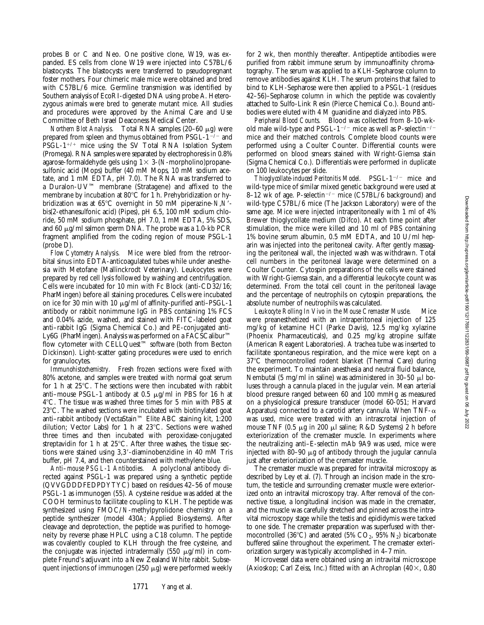probes B or C and Neo. One positive clone, W19, was expanded. ES cells from clone W19 were injected into C57BL/6 blastocysts. The blastocysts were transferred to pseudopregnant foster mothers. Four chimeric male mice were obtained and bred with C57BL/6 mice. Germline transmission was identified by Southern analysis of EcoRI-digested DNA using probe A. Heterozygous animals were bred to generate mutant mice. All studies and procedures were approved by the Animal Care and Use Committee of Beth Israel Deaconess Medical Center.

*Northern Blot Analysis.* Total RNA samples (20-60 μg) were prepared from spleen and thymus obtained from  $PSGL-1<sup>-/-</sup>$  and  $PSGL-1^{+/+}$  mice using the SV Total RNA Isolation System (Promega). RNA samples were separated by electrophoresis in 0.8% agarose-formaldehyde gels using  $1 \times 3$ -(*N*-morpholino)propanesulfonic acid (Mops) buffer (40 mM Mops, 10 mM sodium acetate, and 1 mM EDTA, pH 7.0). The RNA was transferred to a Duralon-UV™ membrane (Stratagene) and affixed to the membrane by incubation at 80°C for 1 h. Prehybridization or hybridization was at 65°C overnight in 50 mM piperazine-*N*,*N'*bis(2-ethanesulfonic acid) (Pipes), pH 6.5, 100 mM sodium chloride, 50 mM sodium phosphate, pH 7.0, 1 mM EDTA, 5% SDS, and 60  $\mu$ g/ml salmon sperm DNA. The probe was a 1.0-kb PCR fragment amplified from the coding region of mouse PSGL-1 (probe D).

*Flow Cytometry Analysis.* Mice were bled from the retroorbital sinus into EDTA-anticoagulated tubes while under anesthesia with Metofane (Mallinckrodt Veterinary). Leukocytes were prepared by red cell lysis followed by washing and centrifugation. Cells were incubated for 10 min with Fc Block (anti-CD32/16; PharMingen) before all staining procedures. Cells were incubated on ice for 30 min with 10 mg/ml of affinity-purified anti–PSGL-1 antibody or rabbit nonimmune IgG in PBS containing 1% FCS and 0.04% azide, washed, and stained with FITC-labeled goat anti–rabbit IgG (Sigma Chemical Co.) and PE-conjugated anti-Ly6G (PharMingen). Analysis was performed on a FACSCalibur™ flow cytometer with CELLQuest™ software (both from Becton Dickinson). Light-scatter gating procedures were used to enrich for granulocytes.

*Immunohistochemistry.* Fresh frozen sections were fixed with 80% acetone, and samples were treated with normal goat serum for 1 h at  $25^{\circ}$ C. The sections were then incubated with rabbit anti-mouse PSGL-1 antibody at 0.5  $\mu$ g/ml in PBS for 16 h at 48C. The tissue was washed three times for 5 min with PBS at  $23^{\circ}$ C. The washed sections were incubated with biotinylated goat anti–rabbit antibody (VectaStain™ Elite ABC staining kit, 1:200 dilution; Vector Labs) for 1 h at 23°C. Sections were washed three times and then incubated with peroxidase-conjugated streptavidin for 1 h at  $25^{\circ}$ C. After three washes, the tissue sections were stained using 3,3'-diaminobenzidine in 40 mM Tris buffer, pH 7.4, and then counterstained with methylene blue.

*Anti–mouse PSGL-1 Antibodies.* A polyclonal antibody directed against PSGL-1 was prepared using a synthetic peptide (QVVGDDDFEDPDYTYC) based on residues 42–56 of mouse PSGL-1 as immunogen (55). A cysteine residue was added at the COOH terminus to facilitate coupling to KLH. The peptide was synthesized using FMOC/*N*-methylpyrolidone chemistry on a peptide synthesizer (model 430A; Applied Biosystems). After cleavage and deprotection, the peptide was purified to homogeneity by reverse phase HPLC using a C18 column. The peptide was covalently coupled to KLH through the free cysteine, and the conjugate was injected intradermally  $(550 \mu g/ml)$  in complete Freund's adjuvant into a New Zealand White rabbit. Subsequent injections of immunogen  $(250 \mu g)$  were performed weekly

for 2 wk, then monthly thereafter. Antipeptide antibodies were purified from rabbit immune serum by immunoaffinity chromatography. The serum was applied to a KLH-Sepharose column to remove antibodies against KLH. The serum proteins that failed to bind to KLH-Sepharose were then applied to a PSGL-1 (residues 42–56)–Sepharose column in which the peptide was covalently attached to Sulfo-Link Resin (Pierce Chemical Co.). Bound antibodies were eluted with 4 M guanidine and dialyzed into PBS.

*Peripheral Blood Counts.* Blood was collected from 8–10-wkold male wild-type and PSGL-1<sup>-/-</sup> mice as well as P-selectin<sup>-/-</sup> mice and their matched controls. Complete blood counts were performed using a Coulter Counter. Differential counts were performed on blood smears stained with Wright-Giemsa stain (Sigma Chemical Co.). Differentials were performed in duplicate on 100 leukocytes per slide.

*Thioglycollate-induced Peritonitis Model.* PSGL-1<sup>-/-</sup> mice and wild-type mice of similar mixed genetic background were used at 8–12 wk of age. P-selectin<sup>-/-</sup> mice (C57BL/6 background) and wild-type C57BL/6 mice (The Jackson Laboratory) were of the same age. Mice were injected intraperitoneally with 1 ml of 4% Brewer thioglycollate medium (Difco). At each time point after stimulation, the mice were killed and 10 ml of PBS containing 1% bovine serum albumin, 0.5 mM EDTA, and 10 U/ml heparin was injected into the peritoneal cavity. After gently massaging the peritoneal wall, the injected wash was withdrawn. Total cell numbers in the peritoneal lavage were determined on a Coulter Counter. Cytospin preparations of the cells were stained with Wright-Giemsa stain, and a differential leukocyte count was determined. From the total cell count in the peritoneal lavage and the percentage of neutrophils on cytospin preparations, the absolute number of neutrophils was calculated.

*Leukocyte Rolling In Vivo in the Mouse Cremaster Muscle.* Mice were preanesthetized with an intraperitoneal injection of 125 mg/kg of ketamine HCl (Parke Davis), 12.5 mg/kg xylazine (Phoenix Pharmaceuticals), and 0.25 mg/kg atropine sulfate (American Reagent Laboratories). A trachea tube was inserted to facilitate spontaneous respiration, and the mice were kept on a 37°C thermocontrolled rodent blanket (Thermal Care) during the experiment. To maintain anesthesia and neutral fluid balance, Nembutal (5 mg/ml in saline) was administered in 30-50  $\mu$ l boluses through a cannula placed in the jugular vein. Mean arterial blood pressure ranged between 60 and 100 mmHg as measured on a physiological pressure transducer (model 60-051; Harvard Apparatus) connected to a carotid artery cannula. When TNF- $\alpha$ was used, mice were treated with an intrascrotal injection of mouse TNF  $(0.5 \mu g \text{ in } 200 \mu l \text{ saline}; R&D \text{ Systems})$  2 h before exteriorization of the cremaster muscle. In experiments where the neutralizing anti–E-selectin mAb 9A9 was used, mice were injected with 80–90  $\mu$ g of antibody through the jugular cannula just after exteriorization of the cremaster muscle.

The cremaster muscle was prepared for intravital microscopy as described by Ley et al. (7). Through an incision made in the scrotum, the testicle and surrounding cremaster muscle were exteriorized onto an intravital microscopy tray. After removal of the connective tissue, a longitudinal incision was made in the cremaster, and the muscle was carefully stretched and pinned across the intravital microscopy stage while the testis and epididymis were tacked to one side. The cremaster preparation was superfused with thermocontrolled (36 $^{\circ}$ C) and aerated (5% CO<sub>2</sub>, 95% N<sub>2</sub>) bicarbonate buffered saline throughout the experiment. The cremaster exteriorization surgery was typically accomplished in 4–7 min.

Microvessel data were obtained using an intravital microscope (Axioskop; Carl Zeiss, Inc.) fitted with an Achroplan  $(40 \times, 0.80)$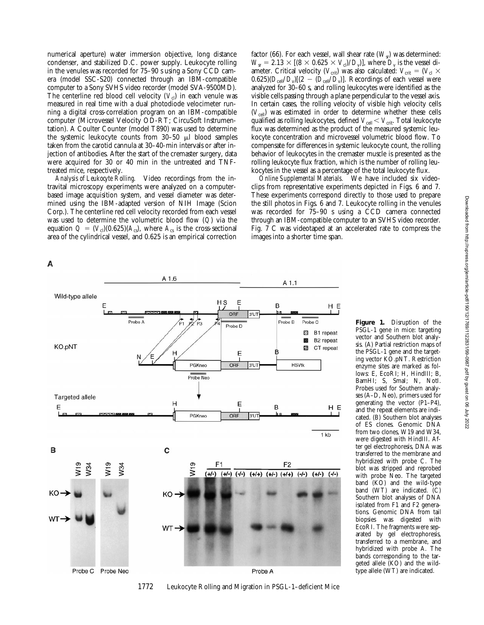numerical aperture) water immersion objective, long distance condenser, and stabilized D.C. power supply. Leukocyte rolling in the venules was recorded for 75–90 s using a Sony CCD camera (model SSC-S20) connected through an IBM-compatible computer to a Sony SVHS video recorder (model SVA-9500MD). The centerline red blood cell velocity  $(V<sub>cl</sub>)$  in each venule was measured in real time with a dual photodiode velocimeter running a digital cross-correlation program on an IBM-compatible computer (Microvessel Velocity OD-RT; CircuSoft Instrumentation). A Coulter Counter (model T890) was used to determine the systemic leukocyte counts from  $30-50$   $\mu$ l blood samples taken from the carotid cannula at 30–40-min intervals or after injection of antibodies. After the start of the cremaster surgery, data were acquired for 30 or 40 min in the untreated and TNFtreated mice, respectively.

*Analysis of Leukocyte Rolling.* Video recordings from the intravital microscopy experiments were analyzed on a computerbased image acquisition system, and vessel diameter was determined using the IBM-adapted version of NIH Image (Scion Corp.). The centerline red cell velocity recorded from each vessel was used to determine the volumetric blood flow (*Q*) via the equation  $Q = (V_c)(0.625)(A_c)$ , where  $A_c$  is the cross-sectional area of the cylindrical vessel, and 0.625 is an empirical correction

А



clips from representative experiments depicted in Figs. 6 and 7. These experiments correspond directly to those used to prepare the still photos in Figs. 6 and 7. Leukocyte rolling in the venules was recorded for 75–90 s using a CCD camera connected through an IBM-compatible computer to an SVHS video recorder. Fig. 7 C was videotaped at an accelerated rate to compress the images into a shorter time span.



**Figure 1.** Disruption of the PSGL-1 gene in mice: targeting vector and Southern blot analysis. (A) Partial restriction maps of the PSGL-1 gene and the targeting vector KO.pNT. Restriction enzyme sites are marked as follows: E, EcoRI; H, HindIII; B, BamHI; S, SmaI; N, NotI. Probes used for Southern analyses (A–D, Neo), primers used for generating the vector (P1–P4), and the repeat elements are indicated. (B) Southern blot analyses of ES clones. Genomic DNA from two clones, W19 and W34, were digested with HindIII. After gel electrophoresis, DNA was transferred to the membrane and hybridized with probe C. The blot was stripped and reprobed with probe Neo. The targeted band (KO) and the wild-type band (WT) are indicated. (C) Southern blot analyses of DNA isolated from F1 and F2 generations. Genomic DNA from tail biopsies was digested with EcoRI. The fragments were separated by gel electrophoresis, transferred to a membrane, and hybridized with probe A. The bands corresponding to the targeted allele (KO) and the wildtype allele (WT) are indicated.

1772 Leukocyte Rolling and Migration in PSGL-1–deficient Mice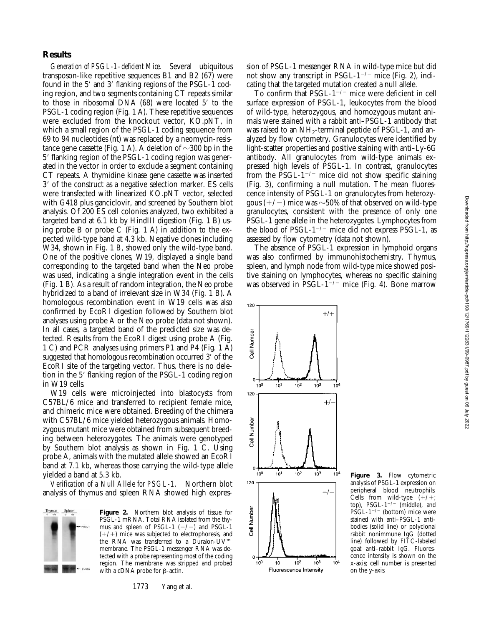## **Results**

*Generation of PSGL-1–deficient Mice.* Several ubiquitous transposon-like repetitive sequences B1 and B2 (67) were found in the 5' and 3' flanking regions of the PSGL-1 coding region, and two segments containing CT repeats similar to those in ribosomal DNA  $(68)$  were located  $5'$  to the PSGL-1 coding region (Fig. 1 A). These repetitive sequences were excluded from the knockout vector, KO.pNT, in which a small region of the PSGL-1 coding sequence from 69 to 94 nucleotides (nt) was replaced by a neomycin-resistance gene cassette (Fig. 1 A). A deletion of  $\sim$ 300 bp in the 5' flanking region of the PSGL-1 coding region was generated in the vector in order to exclude a segment containing CT repeats. A thymidine kinase gene cassette was inserted 3' of the construct as a negative selection marker. ES cells were transfected with linearized KO.pNT vector, selected with G418 plus ganciclovir, and screened by Southern blot analysis. Of 200 ES cell colonies analyzed, two exhibited a targeted band at 6.1 kb by HindIII digestion (Fig. 1 B) using probe B or probe C (Fig. 1 A) in addition to the expected wild-type band at 4.3 kb. Negative clones including W34, shown in Fig. 1 B, showed only the wild-type band. One of the positive clones, W19, displayed a single band corresponding to the targeted band when the Neo probe was used, indicating a single integration event in the cells (Fig. 1 B). As a result of random integration, the Neo probe hybridized to a band of irrelevant size in W34 (Fig. 1 B). A homologous recombination event in W19 cells was also confirmed by EcoRI digestion followed by Southern blot analyses using probe A or the Neo probe (data not shown). In all cases, a targeted band of the predicted size was detected. Results from the EcoRI digest using probe A (Fig. 1 C) and PCR analyses using primers P1 and P4 (Fig. 1 A) suggested that homologous recombination occurred 3' of the EcoRI site of the targeting vector. Thus, there is no deletion in the 5' flanking region of the PSGL-1 coding region in W19 cells.

W19 cells were microinjected into blastocysts from C57BL/6 mice and transferred to recipient female mice, and chimeric mice were obtained. Breeding of the chimera with C57BL/6 mice yielded heterozygous animals. Homozygous mutant mice were obtained from subsequent breeding between heterozygotes. The animals were genotyped by Southern blot analysis as shown in Fig. 1 C. Using probe A, animals with the mutated allele showed an EcoRI band at 7.1 kb, whereas those carrying the wild-type allele yielded a band at 5.3 kb.

*Verification of a Null Allele for PSGL-1.* Northern blot analysis of thymus and spleen RNA showed high expres-



**Figure 2.** Northern blot analysis of tissue for PSGL-1 mRNA. Total RNA isolated from the thymus and spleen of PSGL-1  $(-/-)$  and PSGL-1  $(+/+)$  mice was subjected to electrophoresis, and the RNA was transferred to a Duralon-UV™ membrane. The PSGL-1 messenger RNA was detected with a probe representing most of the coding region. The membrane was stripped and probed with a cDNA probe for  $\beta$ -actin.

1773 Yang et al.

sion of PSGL-1 messenger RNA in wild-type mice but did not show any transcript in PSGL- $1^{-/-}$  mice (Fig. 2), indicating that the targeted mutation created a null allele.

To confirm that  $PSGL-1^{-/-}$  mice were deficient in cell surface expression of PSGL-1, leukocytes from the blood of wild-type, heterozygous, and homozygous mutant animals were stained with a rabbit anti–PSGL-1 antibody that was raised to an  $NH<sub>2</sub>$ -terminal peptide of PSGL-1, and analyzed by flow cytometry. Granulocytes were identified by light-scatter properties and positive staining with anti–Ly-6G antibody. All granulocytes from wild-type animals expressed high levels of PSGL-1. In contrast, granulocytes from the PSGL-1<sup>-/-</sup> mice did not show specific staining (Fig. 3), confirming a null mutation. The mean fluorescence intensity of PSGL-1 on granulocytes from heterozygous  $(+/-)$  mice was  $\sim$ 50% of that observed on wild-type granulocytes, consistent with the presence of only one PSGL-1 gene allele in the heterozygotes. Lymphocytes from the blood of PSGL- $1^{-/-}$  mice did not express PSGL-1, as assessed by flow cytometry (data not shown).

The absence of PSGL-1 expression in lymphoid organs was also confirmed by immunohistochemistry. Thymus, spleen, and lymph node from wild-type mice showed positive staining on lymphocytes, whereas no specific staining was observed in PSGL-1<sup> $-/-$ </sup> mice (Fig. 4). Bone marrow



120

**Figure 3.** Flow cytometric analysis of PSGL-1 expression on peripheral blood neutrophils. Cells from wild-type  $(+/+;$ top), PSGL- $1^{+/-}$  (middle), and  $\text{P}\hat{\text{S}}\text{GL-1}^{-/-}$  (bottom) mice were stained with anti–PSGL-1 antibodies (solid line) or polyclonal rabbit nonimmune IgG (dotted line) followed by FITC-labeled goat anti–rabbit IgG. Fluorescence intensity is shown on the x-axis; cell number is presented on the y-axis.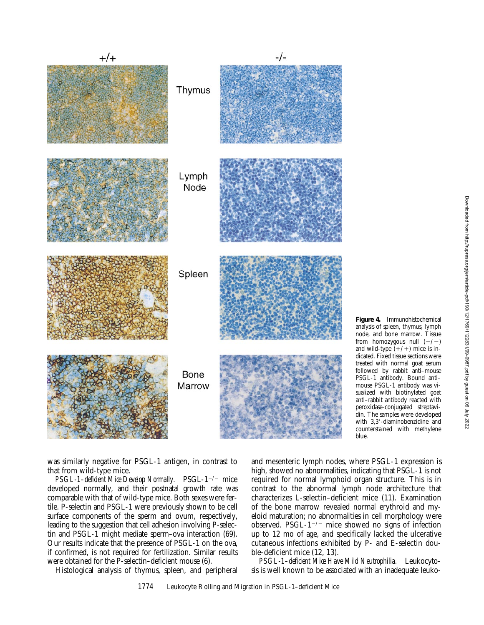

**Figure 4.** Immunohistochemical analysis of spleen, thymus, lymph node, and bone marrow. Tissue from homozygous null  $(-/-)$ and wild-type  $(+/+)$  mice is indicated. Fixed tissue sections were treated with normal goat serum followed by rabbit anti–mouse PSGL-1 antibody. Bound anti– mouse PSGL-1 antibody was visualized with biotinylated goat anti–rabbit antibody reacted with peroxidase-conjugated streptavidin. The samples were developed with  $3,3'$ -diaminobenzidine and counterstained with methylene blue.

was similarly negative for PSGL-1 antigen, in contrast to that from wild-type mice.

*PSGL-1–deficient Mice Develop Normally.* PSGL-1<sup>-/-</sup> mice developed normally, and their postnatal growth rate was comparable with that of wild-type mice. Both sexes were fertile. P-selectin and PSGL-1 were previously shown to be cell surface components of the sperm and ovum, respectively, leading to the suggestion that cell adhesion involving P-selectin and PSGL-1 might mediate sperm–ova interaction (69). Our results indicate that the presence of PSGL-1 on the ova, if confirmed, is not required for fertilization. Similar results were obtained for the P-selectin–deficient mouse (6).

Histological analysis of thymus, spleen, and peripheral

and mesenteric lymph nodes, where PSGL-1 expression is high, showed no abnormalities, indicating that PSGL-1 is not required for normal lymphoid organ structure. This is in contrast to the abnormal lymph node architecture that characterizes L-selectin–deficient mice (11). Examination of the bone marrow revealed normal erythroid and myeloid maturation; no abnormalities in cell morphology were observed. PSGL- $1^{-/-}$  mice showed no signs of infection up to 12 mo of age, and specifically lacked the ulcerative cutaneous infections exhibited by P- and E-selectin double-deficient mice (12, 13).

*PSGL-1–deficient Mice Have Mild Neutrophilia.* Leukocytosis is well known to be associated with an inadequate leuko-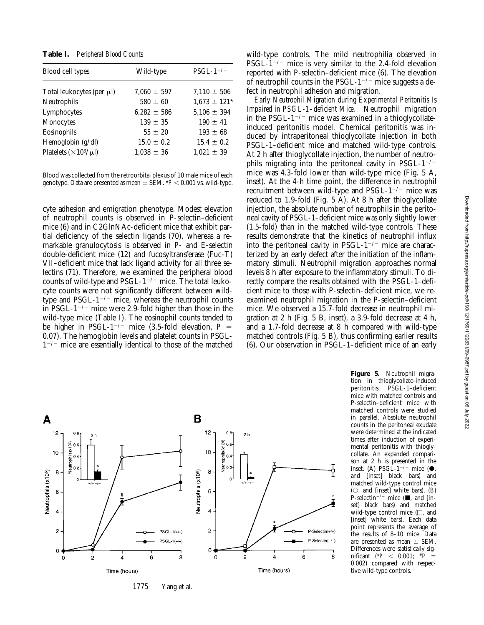**Table I.** *Peripheral Blood Counts*

| Blood cell types                  | Wild-type       | $PSGL-1$ <sup>-/-</sup> |
|-----------------------------------|-----------------|-------------------------|
| Total leukocytes (per µl)         | $7.060 \pm 597$ | $7.110 \pm 506$         |
| Neutrophils                       | $580 \pm 60$    | $1,673 \pm 121*$        |
| Lymphocytes                       | $6,282 \pm 586$ | $5,106 \pm 394$         |
| Monocytes                         | $139 \pm 35$    | $190 \pm 41$            |
| Eosinophils                       | $55 \pm 20$     | $193 \pm 68$            |
| Hemoglobin (g/dl)                 | $15.0 \pm 0.2$  | $15.4 \pm 0.2$          |
| Platelets $(\times 10^{3}/\mu l)$ | $1.038 \pm 36$  | $1.021 \pm 39$          |

Blood was collected from the retroorbital plexus of 10 male mice of each genotype. Data are presented as mean  $\pm$  SEM.  $*P$  < 0.001 vs. wild-type.

cyte adhesion and emigration phenotype. Modest elevation of neutrophil counts is observed in P-selectin–deficient mice (6) and in C2GlnNAc-deficient mice that exhibit partial deficiency of the selectin ligands (70), whereas a remarkable granulocytosis is observed in P- and E-selectin double-deficient mice (12) and fucosyltransferase (Fuc-T) VII–deficient mice that lack ligand activity for all three selectins (71). Therefore, we examined the peripheral blood counts of wild-type and PSGL- $1^{-/-}$  mice. The total leukocyte counts were not significantly different between wildtype and PSGL- $1^{-/-}$  mice, whereas the neutrophil counts in PSGL-1<sup> $-/-$ </sup> mice were 2.9-fold higher than those in the wild-type mice (Table I). The eosinophil counts tended to be higher in PSGL-1<sup>-/-</sup> mice (3.5-fold elevation,  $P =$ 0.07). The hemoglobin levels and platelet counts in PSGL- $1^{-/-}$  mice are essentially identical to those of the matched wild-type controls. The mild neutrophilia observed in PSGL-1<sup>-/-</sup> mice is very similar to the 2.4-fold elevation reported with P-selectin–deficient mice (6). The elevation of neutrophil counts in the PSGL- $1^{-/-}$  mice suggests a defect in neutrophil adhesion and migration.

*Early Neutrophil Migration during Experimental Peritonitis Is Impaired in PSGL-1–deficient Mice.* Neutrophil migration in the PSGL- $1^{-/-}$  mice was examined in a thioglycollateinduced peritonitis model. Chemical peritonitis was induced by intraperitoneal thioglycollate injection in both PSGL-1–deficient mice and matched wild-type controls. At 2 h after thioglycollate injection, the number of neutrophils migrating into the peritoneal cavity in PSGL- $1^{-/-}$ mice was 4.3-fold lower than wild-type mice (Fig. 5 A, inset). At the 4-h time point, the difference in neutrophil recruitment between wild-type and PSGL- $1^{-/-}$  mice was reduced to 1.9-fold (Fig. 5 A). At 8 h after thioglycollate injection, the absolute number of neutrophils in the peritoneal cavity of PSGL-1–deficient mice was only slightly lower (1.5-fold) than in the matched wild-type controls. These results demonstrate that the kinetics of neutrophil influx into the peritoneal cavity in PSGL- $1^{-/-}$  mice are characterized by an early defect after the initiation of the inflammatory stimuli. Neutrophil migration approaches normal levels 8 h after exposure to the inflammatory stimuli. To directly compare the results obtained with the PSGL-1–deficient mice to those with P-selectin–deficient mice, we reexamined neutrophil migration in the P-selectin–deficient mice. We observed a 15.7-fold decrease in neutrophil migration at 2 h (Fig. 5 B, inset), a 3.9-fold decrease at 4 h, and a 1.7-fold decrease at 8 h compared with wild-type matched controls (Fig. 5 B), thus confirming earlier results (6). Our observation in PSGL-1–deficient mice of an early



tion in thioglycollate-induced peritonitis. PSGL-1–deficient mice with matched controls and P-selectin–deficient mice with matched controls were studied in parallel. Absolute neutrophil counts in the peritoneal exudate were determined at the indicated times after induction of experimental peritonitis with thioglycollate. An expanded comparison at 2 h is presented in the inset. (A) PSGL-1<sup>-/-</sup> mice ( $\bullet$ ,<br>and [inset] black bars) and [inset] black bars) and matched wild-type control mice  $(O, and [inset] with the bars).$  (B) P-selectin<sup>-/-</sup> mice ( $\blacksquare$ , and [inset] black bars) and matched wild-type control mice  $(\square, \text{ and})$ [inset] white bars). Each data point represents the average of the results of 8–10 mice. Data are presented as mean  $\pm$  SEM. Differences were statistically significant (\**P* < 0.001;  $*^{p} =$ 0.002) compared with respective wild-type controls.

**Figure 5.** Neutrophil migra-

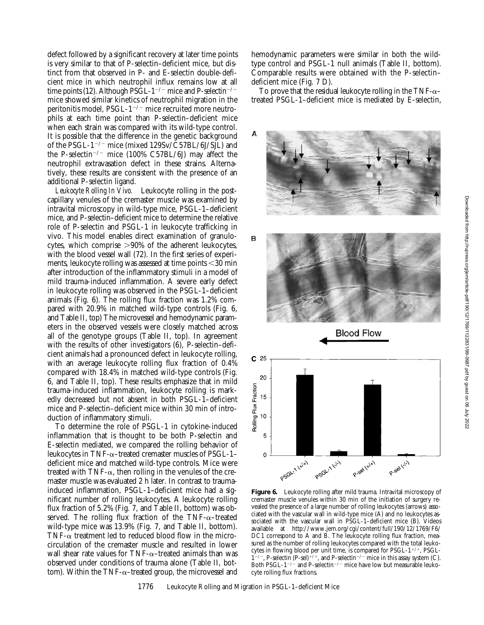defect followed by a significant recovery at later time points is very similar to that of P-selectin–deficient mice, but distinct from that observed in P- and E-selectin double-deficient mice in which neutrophil influx remains low at all time points (12). Although PSGL-1<sup>-/-</sup> mice and P-selectin<sup>-/-</sup> mice showed similar kinetics of neutrophil migration in the peritonitis model, PSGL- $1^{-/-}$  mice recruited more neutrophils at each time point than P-selectin–deficient mice when each strain was compared with its wild-type control. It is possible that the difference in the genetic background of the PSGL-1<sup>-/-</sup> mice (mixed  $129Sv/\overline{C}57BL/6J/SJL$ ) and the P-selectin<sup>-/-</sup> mice (100% C57BL/6J) may affect the neutrophil extravasation defect in these strains. Alternatively, these results are consistent with the presence of an additional P-selectin ligand.

*Leukocyte Rolling In Vivo.* Leukocyte rolling in the postcapillary venules of the cremaster muscle was examined by intravital microscopy in wild-type mice, PSGL-1–deficient mice, and P-selectin–deficient mice to determine the relative role of P-selectin and PSGL-1 in leukocyte trafficking in vivo. This model enables direct examination of granulocytes, which comprise  $>90\%$  of the adherent leukocytes, with the blood vessel wall (72). In the first series of experiments, leukocyte rolling was assessed at time points  $<$ 30 min after introduction of the inflammatory stimuli in a model of mild trauma-induced inflammation. A severe early defect in leukocyte rolling was observed in the PSGL-1–deficient animals (Fig. 6). The rolling flux fraction was 1.2% compared with 20.9% in matched wild-type controls (Fig. 6, and Table II, top) The microvessel and hemodynamic parameters in the observed vessels were closely matched across all of the genotype groups (Table II, top). In agreement with the results of other investigators (6), P-selectin–deficient animals had a pronounced defect in leukocyte rolling, with an average leukocyte rolling flux fraction of 0.4% compared with 18.4% in matched wild-type controls (Fig. 6, and Table II, top). These results emphasize that in mild trauma-induced inflammation, leukocyte rolling is markedly decreased but not absent in both PSGL-1–deficient mice and P-selectin–deficient mice within 30 min of introduction of inflammatory stimuli.

To determine the role of PSGL-1 in cytokine-induced inflammation that is thought to be both P-selectin and E-selectin mediated, we compared the rolling behavior of leukocytes in TNF- $\alpha$ –treated cremaster muscles of PSGL-1– deficient mice and matched wild-type controls. Mice were treated with  $TNF-\alpha$ , then rolling in the venules of the cremaster muscle was evaluated 2 h later. In contrast to traumainduced inflammation, PSGL-1–deficient mice had a significant number of rolling leukocytes. A leukocyte rolling flux fraction of 5.2% (Fig. 7, and Table II, bottom) was observed. The rolling flux fraction of the TNF- $\alpha$ –treated wild-type mice was 13.9% (Fig. 7, and Table II, bottom). TNF- $\alpha$  treatment led to reduced blood flow in the microcirculation of the cremaster muscle and resulted in lower wall shear rate values for TNF- $\alpha$ –treated animals than was observed under conditions of trauma alone (Table II, bottom). Within the TNF- $\alpha$ -treated group, the microvessel and hemodynamic parameters were similar in both the wildtype control and PSGL-1 null animals (Table II, bottom). Comparable results were obtained with the P-selectin– deficient mice (Fig. 7 D).

To prove that the residual leukocyte rolling in the TNF- $\alpha$ – treated PSGL-1–deficient mice is mediated by E-selectin,



**Figure 6.** Leukocyte rolling after mild trauma. Intravital microscopy of cremaster muscle venules within 30 min of the initiation of surgery revealed the presence of a large number of rolling leukocytes (arrows) associated with the vascular wall in wild-type mice (A) and no leukocytes associated with the vascular wall in PSGL-1-deficient mice (B). Videos available at http://www.jem.org/cgi/content/full/190/12/1769/F6/ DC1 correspond to A and B. The leukocyte rolling flux fraction, measured as the number of rolling leukocytes compared with the total leukocytes in flowing blood per unit time, is compared for PSGL- $1^{+/+}$ , PSGL- $1^{-/-}$ , P-selectin (P-sel)<sup>+/+</sup>, and P-selectin<sup>-/-</sup> mice in this assay system (C). Both PSGL-1<sup> $-/-$ </sup> and P-selectin<sup> $-/-$ </sup> mice have low but measurable leukocyte rolling flux fractions.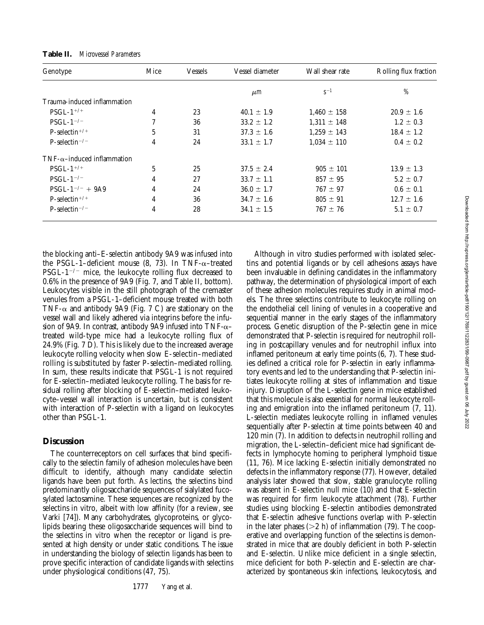| Genotype                               | Mice          | Vessels | Vessel diameter | Wall shear rate | Rolling flux fraction |
|----------------------------------------|---------------|---------|-----------------|-----------------|-----------------------|
|                                        |               |         | $\mu$ m         | $S^{-1}$        | %                     |
| Trauma-induced inflammation            |               |         |                 |                 |                       |
| $PSGL-1$ <sup>+/+</sup>                | 4             | 23      | $40.1 \pm 1.9$  | $1,460 \pm 158$ | $20.9 \pm 1.6$        |
| $PSGL-1$ <sup>-/-</sup>                | $\mathcal{I}$ | 36      | $33.2 \pm 1.2$  | $1.311 \pm 148$ | $1.2 \pm 0.3$         |
| $P-selectron^{+/+}$                    | 5             | 31      | $37.3 \pm 1.6$  | $1,259 \pm 143$ | $18.4 \pm 1.2$        |
| $P$ -selectin <sup>-/-</sup>           | 4             | 24      | $33.1 \pm 1.7$  | $1.034 \pm 110$ | $0.4 \pm 0.2$         |
| $TNF$ - $\alpha$ -induced inflammation |               |         |                 |                 |                       |
| $PSGL-1$ <sup>+/+</sup>                | 5             | 25      | $37.5 \pm 2.4$  | $905 \pm 101$   | $13.9 \pm 1.3$        |
| $PSGL-1$ <sup>-/-</sup>                | 4             | 27      | $33.7 \pm 1.1$  | $857 \pm 95$    | $5.2 \pm 0.7$         |
| $PSGL-1^{-/-} + 9A9$                   | 4             | 24      | $36.0 \pm 1.7$  | $767 \pm 97$    | $0.6 \pm 0.1$         |
| $P$ -selectin <sup>+/+</sup>           | 4             | 36      | $34.7 \pm 1.6$  | $805 \pm 91$    | $12.7 \pm 1.6$        |
| P-selectin <sup><math>-/-</math></sup> | 4             | 28      | $34.1 \pm 1.5$  | $767 \pm 76$    | $5.1 \pm 0.7$         |

**Table II.** *Microvessel Parameters*

the blocking anti–E-selectin antibody 9A9 was infused into the PSGL-1–deficient mouse  $(8, 73)$ . In TNF- $\alpha$ –treated PSGL-1<sup>-/-</sup> mice, the leukocyte rolling flux decreased to 0.6% in the presence of 9A9 (Fig. 7, and Table II, bottom). Leukocytes visible in the still photograph of the cremaster venules from a PSGL-1–deficient mouse treated with both TNF- $\alpha$  and antibody 9A9 (Fig. 7 C) are stationary on the vessel wall and likely adhered via integrins before the infusion of 9A9. In contrast, antibody 9A9 infused into  $TNF-\alpha$ – treated wild-type mice had a leukocyte rolling flux of 24.9% (Fig. 7 D). This is likely due to the increased average leukocyte rolling velocity when slow E-selectin–mediated rolling is substituted by faster P-selectin–mediated rolling. In sum, these results indicate that PSGL-1 is not required for E-selectin–mediated leukocyte rolling. The basis for residual rolling after blocking of E-selectin–mediated leukocyte–vessel wall interaction is uncertain, but is consistent with interaction of P-selectin with a ligand on leukocytes other than PSGL-1.

## **Discussion**

The counterreceptors on cell surfaces that bind specifically to the selectin family of adhesion molecules have been difficult to identify, although many candidate selectin ligands have been put forth. As lectins, the selectins bind predominantly oligosaccharide sequences of sialylated fucosylated lactosamine. These sequences are recognized by the selectins in vitro, albeit with low affinity (for a review, see Varki [74]). Many carbohydrates, glycoproteins, or glycolipids bearing these oligosaccharide sequences will bind to the selectins in vitro when the receptor or ligand is presented at high density or under static conditions. The issue in understanding the biology of selectin ligands has been to prove specific interaction of candidate ligands with selectins under physiological conditions (47, 75).

Although in vitro studies performed with isolated selectins and potential ligands or by cell adhesions assays have been invaluable in defining candidates in the inflammatory pathway, the determination of physiological import of each of these adhesion molecules requires study in animal models. The three selectins contribute to leukocyte rolling on the endothelial cell lining of venules in a cooperative and sequential manner in the early stages of the inflammatory process. Genetic disruption of the P-selectin gene in mice demonstrated that P-selectin is required for neutrophil rolling in postcapillary venules and for neutrophil influx into inflamed peritoneum at early time points (6, 7). These studies defined a critical role for P-selectin in early inflammatory events and led to the understanding that P-selectin initiates leukocyte rolling at sites of inflammation and tissue injury. Disruption of the L-selectin gene in mice established that this molecule is also essential for normal leukocyte rolling and emigration into the inflamed peritoneum (7, 11). L-selectin mediates leukocyte rolling in inflamed venules sequentially after P-selectin at time points between 40 and 120 min (7). In addition to defects in neutrophil rolling and migration, the L-selectin–deficient mice had significant defects in lymphocyte homing to peripheral lymphoid tissue (11, 76). Mice lacking E-selectin initially demonstrated no defects in the inflammatory response (77). However, detailed analysis later showed that slow, stable granulocyte rolling was absent in E-selectin null mice (10) and that E-selectin was required for firm leukocyte attachment (78). Further studies using blocking E-selectin antibodies demonstrated that E-selectin adhesive functions overlap with P-selectin in the later phases ( $>2$  h) of inflammation (79). The cooperative and overlapping function of the selectins is demonstrated in mice that are doubly deficient in both P-selectin and E-selectin. Unlike mice deficient in a single selectin, mice deficient for both P-selectin and E-selectin are characterized by spontaneous skin infections, leukocytosis, and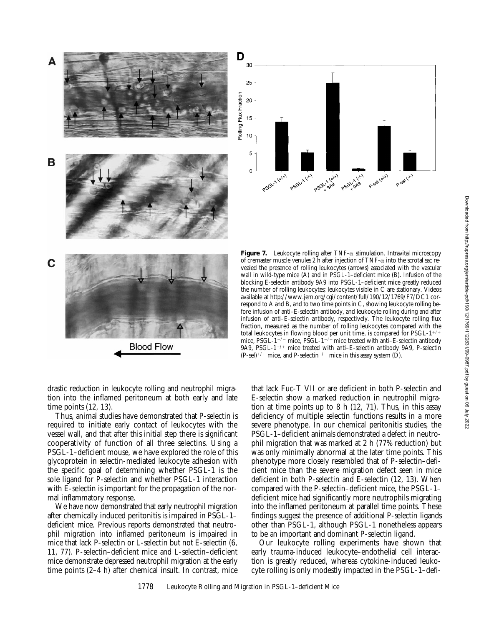



**Figure 7.** Leukocyte rolling after  $TNF-\alpha$  stimulation. Intravital microscopy of cremaster muscle venules  $2$  h after injection of TNF- $\alpha$  into the scrotal sac revealed the presence of rolling leukocytes (arrows) associated with the vascular wall in wild-type mice (A) and in PSGL-1–deficient mice (B). Infusion of the blocking E-selectin antibody 9A9 into PSGL-1–deficient mice greatly reduced the number of rolling leukocytes; leukocytes visible in C are stationary. Videos available at http://www.jem.org/cgi/content/full/190/12/1769/F7/DC1 correspond to A and B, and to two time points in C, showing leukocyte rolling before infusion of anti–E-selectin antibody, and leukocyte rolling during and after infusion of anti–E-selectin antibody, respectively. The leukocyte rolling flux fraction, measured as the number of rolling leukocytes compared with the total leukocytes in flowing blood per unit time, is compared for  $\mathrm{PSGL-1}^{+/+}$ mice, PSGL-1<sup>-/-</sup> mice, PSGL-1<sup>-/-</sup> mice treated with anti-E-selectin antibody 9A9, PSGL- $1^{+/+}$  mice treated with anti-E-selectin antibody 9A9, P-selectin  $(P-sel)^{+/+}$  mice, and P-selectin<sup>-/-</sup> mice in this assay system (D).

drastic reduction in leukocyte rolling and neutrophil migration into the inflamed peritoneum at both early and late time points (12, 13).

Thus, animal studies have demonstrated that P-selectin is required to initiate early contact of leukocytes with the vessel wall, and that after this initial step there is significant cooperativity of function of all three selectins. Using a PSGL-1–deficient mouse, we have explored the role of this glycoprotein in selectin-mediated leukocyte adhesion with the specific goal of determining whether PSGL-1 is the sole ligand for P-selectin and whether PSGL-1 interaction with E-selectin is important for the propagation of the normal inflammatory response.

We have now demonstrated that early neutrophil migration after chemically induced peritonitis is impaired in PSGL-1– deficient mice. Previous reports demonstrated that neutrophil migration into inflamed peritoneum is impaired in mice that lack P-selectin or L-selectin but not E-selectin (6, 11, 77). P-selectin–deficient mice and L-selectin–deficient mice demonstrate depressed neutrophil migration at the early time points (2–4 h) after chemical insult. In contrast, mice

that lack Fuc-T VII or are deficient in both P-selectin and E-selectin show a marked reduction in neutrophil migration at time points up to 8 h (12, 71). Thus, in this assay deficiency of multiple selectin functions results in a more severe phenotype. In our chemical peritonitis studies, the PSGL-1–deficient animals demonstrated a defect in neutrophil migration that was marked at 2 h (77% reduction) but was only minimally abnormal at the later time points. This phenotype more closely resembled that of P-selectin–deficient mice than the severe migration defect seen in mice deficient in both P-selectin and E-selectin (12, 13). When compared with the P-selectin–deficient mice, the PSGL-1– deficient mice had significantly more neutrophils migrating into the inflamed peritoneum at parallel time points. These findings suggest the presence of additional P-selectin ligands other than PSGL-1, although PSGL-1 nonetheless appears to be an important and dominant P-selectin ligand.

Our leukocyte rolling experiments have shown that early trauma-induced leukocyte–endothelial cell interaction is greatly reduced, whereas cytokine-induced leukocyte rolling is only modestly impacted in the PSGL-1–defi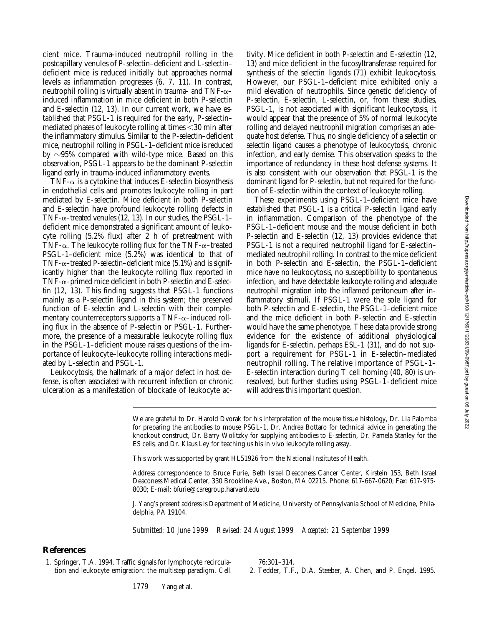cient mice. Trauma-induced neutrophil rolling in the postcapillary venules of P-selectin–deficient and L-selectin– deficient mice is reduced initially but approaches normal levels as inflammation progresses (6, 7, 11). In contrast, neutrophil rolling is virtually absent in trauma- and  $TNF-\alpha$ – induced inflammation in mice deficient in both P-selectin and E-selectin (12, 13). In our current work, we have established that PSGL-1 is required for the early, P-selectin– mediated phases of leukocyte rolling at times  $<$ 30 min after the inflammatory stimulus. Similar to the P-selectin–deficient mice, neutrophil rolling in PSGL-1–deficient mice is reduced by  $\sim$ 95% compared with wild-type mice. Based on this observation, PSGL-1 appears to be the dominant P-selectin ligand early in trauma-induced inflammatory events.

TNF- $\alpha$  is a cytokine that induces E-selectin biosynthesis in endothelial cells and promotes leukocyte rolling in part mediated by E-selectin. Mice deficient in both P-selectin and E-selectin have profound leukocyte rolling defects in TNF- $\alpha$ –treated venules (12, 13). In our studies, the PSGL-1– deficient mice demonstrated a significant amount of leukocyte rolling (5.2% flux) after 2 h of pretreatment with TNF- $\alpha$ . The leukocyte rolling flux for the TNF- $\alpha$ –treated PSGL-1–deficient mice (5.2%) was identical to that of TNF- $\alpha$ –treated P-selectin–deficient mice (5.1%) and is significantly higher than the leukocyte rolling flux reported in TNF- $\alpha$ –primed mice deficient in both P-selectin and E-selectin (12, 13). This finding suggests that PSGL-1 functions mainly as a P-selectin ligand in this system; the preserved function of E-selectin and L-selectin with their complementary counterreceptors supports a  $TNF-\alpha$ –induced rolling flux in the absence of P-selectin or PSGL-1. Furthermore, the presence of a measurable leukocyte rolling flux in the PSGL-1–deficient mouse raises questions of the importance of leukocyte–leukocyte rolling interactions mediated by L-selectin and PSGL-1.

Leukocytosis, the hallmark of a major defect in host defense, is often associated with recurrent infection or chronic ulceration as a manifestation of blockade of leukocyte ac-

tivity. Mice deficient in both P-selectin and E-selectin (12, 13) and mice deficient in the fucosyltransferase required for synthesis of the selectin ligands (71) exhibit leukocytosis. However, our PSGL-1–deficient mice exhibited only a mild elevation of neutrophils. Since genetic deficiency of P-selectin, E-selectin, L-selectin, or, from these studies, PSGL-1, is not associated with significant leukocytosis, it would appear that the presence of 5% of normal leukocyte rolling and delayed neutrophil migration comprises an adequate host defense. Thus, no single deficiency of a selectin or selectin ligand causes a phenotype of leukocytosis, chronic infection, and early demise. This observation speaks to the importance of redundancy in these host defense systems. It is also consistent with our observation that PSGL-1 is the dominant ligand for P-selectin, but not required for the function of E-selectin within the context of leukocyte rolling.

These experiments using PSGL-1–deficient mice have established that PSGL-1 is a critical P-selectin ligand early in inflammation. Comparison of the phenotype of the PSGL-1–deficient mouse and the mouse deficient in both P-selectin and E-selectin (12, 13) provides evidence that PSGL-1 is not a required neutrophil ligand for E-selectin– mediated neutrophil rolling. In contrast to the mice deficient in both P-selectin and E-selectin, the PSGL-1–deficient mice have no leukocytosis, no susceptibility to spontaneous infection, and have detectable leukocyte rolling and adequate neutrophil migration into the inflamed peritoneum after inflammatory stimuli. If PSGL-1 were the sole ligand for both P-selectin and E-selectin, the PSGL-1–deficient mice and the mice deficient in both P-selectin and E-selectin would have the same phenotype. These data provide strong evidence for the existence of additional physiological ligands for E-selectin, perhaps ESL-1 (31), and do not support a requirement for PSGL-1 in E-selectin–mediated neutrophil rolling. The relative importance of PSGL-1– E-selectin interaction during T cell homing (40, 80) is unresolved, but further studies using PSGL-1–deficient mice will address this important question.

We are grateful to Dr. Harold Dvorak for his interpretation of the mouse tissue histology, Dr. Lia Palomba for preparing the antibodies to mouse PSGL-1, Dr. Andrea Bottaro for technical advice in generating the knockout construct, Dr. Barry Wolitzky for supplying antibodies to E-selectin, Dr. Pamela Stanley for the ES cells, and Dr. Klaus Ley for teaching us his in vivo leukocyte rolling assay.

This work was supported by grant HL51926 from the National Institutes of Health.

Address correspondence to Bruce Furie, Beth Israel Deaconess Cancer Center, Kirstein 153, Beth Israel Deaconess Medical Center, 330 Brookline Ave., Boston, MA 02215. Phone: 617-667-0620; Fax: 617-975- 8030; E-mail: bfurie@caregroup.harvard.edu

J. Yang's present address is Department of Medicine, University of Pennsylvania School of Medicine, Philadelphia, PA 19104.

*Submitted: 10 June 1999 Revised: 24 August 1999 Accepted: 21 September 1999*

#### **References**

1. Springer, T.A. 1994. Traffic signals for lymphocyte recirculation and leukocyte emigration: the multistep paradigm. *Cell.* 76:301–314.

2. Tedder, T.F., D.A. Steeber, A. Chen, and P. Engel. 1995.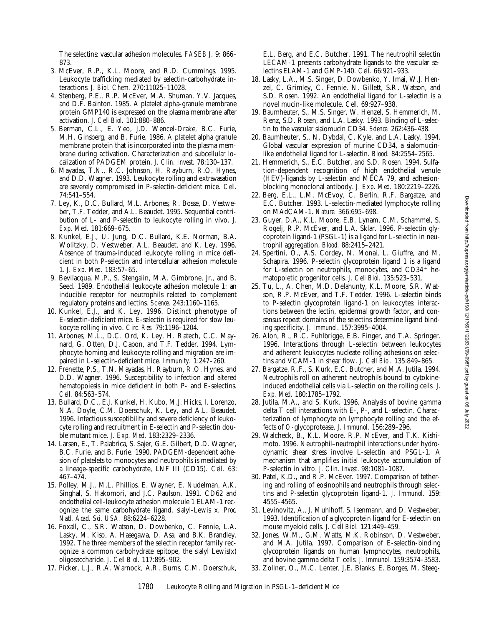The selectins: vascular adhesion molecules. *FASEB J.* 9: 866– 873.

- 3. McEver, R.P., K.L. Moore, and R.D. Cummings. 1995. Leukocyte trafficking mediated by selectin-carbohydrate interactions. *J. Biol. Chem.* 270:11025–11028.
- 4. Stenberg, P.E., R.P. McEver, M.A. Shuman, Y.V. Jacques, and D.F. Bainton. 1985. A platelet alpha-granule membrane protein GMP140 is expressed on the plasma membrane after activation. *J. Cell Biol.* 101:880–886.
- 5. Berman, C.L., E. Yeo, J.D. Wencel-Drake, B.C. Furie, M.H. Ginsberg, and B. Furie. 1986. A platelet alpha granule membrane protein that is incorporated into the plasma membrane during activation. Characterization and subcellular localization of PADGEM protein. *J. Clin. Invest.* 78:130–137.
- 6. Mayadas, T.N., R.C. Johnson, H. Rayburn, R.O. Hynes, and D.D. Wagner. 1993. Leukocyte rolling and extravasation are severely compromised in P-selectin-deficient mice. *Cell.* 74:541–554.
- 7. Ley, K., D.C. Bullard, M.L. Arbones, R. Bosse, D. Vestweber, T.F. Tedder, and A.L. Beaudet. 1995. Sequential contribution of L- and P-selectin to leukocyte rolling in vivo. *J. Exp. Med.* 181:669–675.
- 8. Kunkel, E.J., U. Jung, D.C. Bullard, K.E. Norman, B.A. Wolitzky, D. Vestweber, A.L. Beaudet, and K. Ley. 1996. Absence of trauma-induced leukocyte rolling in mice deficient in both P-selectin and intercellular adhesion molecule 1. *J. Exp. Med.* 183:57–65.
- 9. Bevilacqua, M.P., S. Stengalin, M.A. Gimbrone, Jr., and B. Seed. 1989. Endothelial leukocyte adhesion molecule 1: an inducible receptor for neutrophils related to complement regulatory proteins and lectins. *Science.* 243:1160–1165.
- 10. Kunkel, E.J., and K. Ley. 1996. Distinct phenotype of E-selectin-deficient mice. E-selectin is required for slow leukocyte rolling in vivo. *Circ. Res.* 79:1196–1204.
- 11. Arbones, M.L., D.C. Ord, K. Ley, H. Ratech, C.C. Maynard, G. Otten, D.J. Capon, and T.F. Tedder. 1994. Lymphocyte homing and leukocyte rolling and migration are impaired in L-selectin-deficient mice. *Immunity.* 1:247–260.
- 12. Frenette, P.S., T.N. Mayadas, H. Rayburn, R.O. Hynes, and D.D. Wagner. 1996. Susceptibility to infection and altered hematopoiesis in mice deficient in both P- and E-selectins. *Cell.* 84:563–574.
- 13. Bullard, D.C., E.J. Kunkel, H. Kubo, M.J. Hicks, I. Lorenzo, N.A. Doyle, C.M. Doerschuk, K. Ley, and A.L. Beaudet. 1996. Infectious susceptibility and severe deficiency of leukocyte rolling and recruitment in E-selectin and P-selectin double mutant mice. *J. Exp. Med.* 183:2329–2336.
- 14. Larsen, E., T. Palabrica, S. Sajer, G.E. Gilbert, D.D. Wagner, B.C. Furie, and B. Furie. 1990. PADGEM-dependent adhesion of platelets to monocytes and neutrophils is mediated by a lineage-specific carbohydrate, LNF III (CD15). *Cell.* 63: 467–474.
- 15. Polley, M.J., M.L. Phillips, E. Wayner, E. Nudelman, A.K. Singhal, S. Hakomori, and J.C. Paulson. 1991. CD62 and endothelial cell-leukocyte adhesion molecule 1 ELAM-1 recognize the same carbohydrate ligand, sialyl-Lewis x. *Proc. Natl. Acad. Sci. USA.* 88:6224–6228.
- 16. Foxall, C., S.R. Watson, D. Dowbenko, C. Fennie, L.A. Lasky, M. Kiso, A. Hasegawa, D. Asa, and B.K. Brandley. 1992. The three members of the selectin receptor family recognize a common carbohydrate epitope, the sialyl  $L$ ewis $(x)$ oligosaccharide. *J. Cell Biol.* 117:895–902.
- 17. Picker, L.J., R.A. Warnock, A.R. Burns, C.M. Doerschuk,

E.L. Berg, and E.C. Butcher. 1991. The neutrophil selectin LECAM-1 presents carbohydrate ligands to the vascular selectins ELAM-1 and GMP-140. *Cell.* 66:921–933.

- 18. Lasky, L.A., M.S. Singer, D. Dowbenko, Y. Imai, W.J. Henzel, C. Grimley, C. Fennie, N. Gillett, S.R. Watson, and S.D. Rosen. 1992. An endothelial ligand for L-selectin is a novel mucin-like molecule. *Cell.* 69:927–938.
- 19. Baumheuter, S., M.S. Singer, W. Henzel, S. Hemmerich, M. Renz, S.D. Rosen, and L.A. Lasky. 1993. Binding of L-selectin to the vascular sialomucin CD34. *Science.* 262:436–438.
- 20. Baumheuter, S., N. Dybdal, C. Kyle, and L.A. Lasky. 1994. Global vascular expression of murine CD34, a sialomucinlike endothelial ligand for L-selectin. *Blood.* 84:2554–2565.
- 21. Hemmerich, S., E.C. Butcher, and S.D. Rosen. 1994. Sulfation-dependent recognition of high endothelial venule (HEV)-ligands by L-selectin and MECA 79, and adhesionblocking monoclonal antibody. *J. Exp. Med.* 180:2219–2226.
- 22. Berg, E.L., L.M. McEvoy, C. Berlin, R.F. Bargatze, and E.C. Butcher. 1993. L-selectin-mediated lymphocyte rolling on MAdCAM-1. *Nature.* 366:695–698.
- 23. Guyer, D.A., K.L. Moore, E.B. Lynam, C.M. Schammel, S. Rogelj, R.P. McEver, and L.A. Sklar. 1996. P-selectin glycoprotein ligand-1 (PSGL-1) is a ligand for L-selectin in neutrophil aggregation. *Blood.* 88:2415–2421.
- 24. Spertini, O., A.S. Cordey, N. Monai, L. Giuffre, and M. Schapira. 1996. P-selectin glycoprotein ligand 1 is a ligand for L-selectin on neutrophils, monocytes, and  $CD34<sup>+</sup>$  hematopoietic progenitor cells. *J. Cell Biol.* 135:523–531.
- 25. Tu, L., A. Chen, M.D. Delahunty, K.L. Moore, S.R. Watson, R.P. McEver, and T.F. Tedder. 1996. L-selectin binds to P-selectin glycoprotein ligand-1 on leukocytes: interactions between the lectin, epidermal growth factor, and consensus repeat domains of the selectins determine ligand binding specificity. *J. Immunol*. 157:3995–4004.
- 26. Alon, R., R.C. Fuhlbrigge, E.B. Finger, and T.A. Springer. 1996. Interactions through L-selectin between leukocytes and adherent leukocytes nucleate rolling adhesions on selectins and VCAM-1 in shear flow. *J. Cell Biol.* 135:849–865.
- 27. Bargatze, R.F., S. Kurk, E.C. Butcher, and M.A. Jutila. 1994. Neutrophils roll on adherent neutrophils bound to cytokineinduced endothelial cells via L-selectin on the rolling cells. *J. Exp. Med.* 180:1785–1792.
- 28. Jutila, M.A., and S. Kurk. 1996. Analysis of bovine gamma delta T cell interactions with E-, P-, and L-selectin. Characterization of lymphocyte on lymphocyte rolling and the effects of *O*-glycoprotease. *J. Immunol.* 156:289–296.
- 29. Walcheck, B., K.L. Moore, R.P. McEver, and T.K. Kishimoto. 1996. Neutrophil–neutrophil interactions under hydrodynamic shear stress involve L-selectin and PSGL-1. A mechanism that amplifies initial leukocyte accumulation of P-selectin in vitro. *J. Clin. Invest*. 98:1081–1087.
- 30. Patel, K.D., and R.P. McEver. 1997. Comparison of tethering and rolling of eosinophils and neutrophils through selectins and P-selectin glycoprotein ligand-1. *J. Immunol.* 159: 4555–4565.
- 31. Levinovitz, A., J. Muhlhoff, S. Isenmann, and D. Vestweber. 1993. Identification of a glycoprotein ligand for E-selectin on mouse myeloid cells. *J. Cell Biol.* 121:449–459.
- 32. Jones, W.M., G.M. Watts, M.K. Robinson, D. Vestweber, and M.A. Jutila. 1997. Comparison of E-selectin-binding glycoprotein ligands on human lymphocytes, neutrophils, and bovine gamma delta T cells. *J. Immunol.* 159:3574–3583.
- 33. Zollner, O., M.C. Lenter, J.E. Blanks, E. Borges, M. Steeg-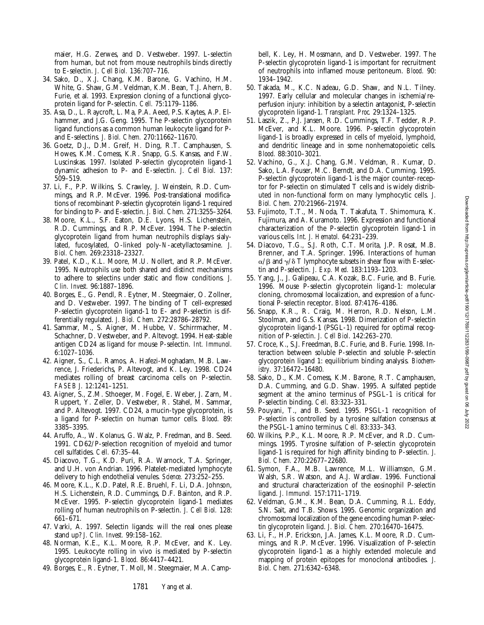maier, H.G. Zerwes, and D. Vestweber. 1997. L-selectin from human, but not from mouse neutrophils binds directly to E-selectin. *J. Cell Biol.* 136:707–716.

- 34. Sako, D., X.J. Chang, K.M. Barone, G. Vachino, H.M. White, G. Shaw, G.M. Veldman, K.M. Bean, T.J. Ahern, B. Furie, et al. 1993. Expression cloning of a functional glycoprotein ligand for P-selectin. *Cell.* 75:1179–1186.
- 35. Asa, D., L. Raycroft, L. Ma, P.A. Aeed, P.S. Kaytes, A.P. Elhammer, and J.G. Geng. 1995. The P-selectin glycoprotein ligand functions as a common human leukocyte ligand for Pand E-selectins. *J. Biol. Chem.* 270:11662–11670.
- 36. Goetz, D.J., D.M. Greif, H. Ding, R.T. Camphausen, S. Howes, K.M. Comess, K.R. Snapp, G.S. Kansas, and F.W. Luscinskas. 1997. Isolated P-selectin glycoprotein ligand-1 dynamic adhesion to P- and E-selectin. *J. Cell Biol.* 137: 509–519.
- 37. Li, F., P.P. Wilkins, S. Crawley, J. Weinstein, R.D. Cummings, and R.P. McEver. 1996. Post-translational modifications of recombinant P-selectin glycoprotein ligand-1 required for binding to P- and E-selectin. *J. Biol. Chem.* 271:3255–3264.
- 38. Moore, K.L., S.F. Eaton, D.E. Lyons, H.S. Lichenstein, R.D. Cummings, and R.P. McEver. 1994. The P-selectin glycoprotein ligand from human neutrophils displays sialylated, fucosylated, O-linked poly-*N*-acetyllactosamine. *J. Biol. Chem.* 269:23318–23327.
- 39. Patel, K.D., K.L. Moore, M.U. Nollert, and R.P. McEver. 1995. Neutrophils use both shared and distinct mechanisms to adhere to selectins under static and flow conditions. *J. Clin. Invest.* 96:1887–1896.
- 40. Borges, E., G. Pendl, R. Eytner, M. Steegmaier, O. Zollner, and D. Vestweber. 1997. The binding of T cell-expressed P-selectin glycoprotein ligand-1 to E- and P-selectin is differentially regulated. *J. Biol. Chem.* 272:28786–28792.
- 41. Sammar, M., S. Aigner, M. Hubbe, V. Schirrmacher, M. Schachner, D. Vestweber, and P. Altevogt. 1994. Heat-stable antigen CD24 as ligand for mouse P-selectin. *Int. Immunol.* 6:1027–1036.
- 42. Aigner, S., C.L. Ramos, A. Hafezi-Moghadam, M.B. Lawrence, J. Friederichs, P. Altevogt, and K. Ley. 1998. CD24 mediates rolling of breast carcinoma cells on P-selectin. *FASEB J.* 12:1241–1251.
- 43. Aigner, S., Z.M. Sthoeger, M. Fogel, E. Weber, J. Zarn, M. Ruppert, Y. Zeller, D. Vestweber, R. Stahel, M. Sammar, and P. Altevogt. 1997. CD24, a mucin-type glycoprotein, is a ligand for P-selectin on human tumor cells. *Blood.* 89: 3385–3395.
- 44. Aruffo, A., W. Kolanus, G. Walz, P. Fredman, and B. Seed. 1991. CD62/P-selection recognition of myeloid and tumor cell sulfatides. *Cell.* 67:35–44.
- 45. Diacovo, T.G., K.D. Puri, R.A. Warnock, T.A. Springer, and U.H. von Andrian. 1996. Platelet-mediated lymphocyte delivery to high endothelial venules. *Science.* 273:252–255.
- 46. Moore, K.L., K.D. Patel, R.E. Bruehl, F. Li, D.A. Johnson, H.S. Lichenstein, R.D. Cummings, D.F. Bainton, and R.P. McEver. 1995. P-selectin glycoprotein ligand-1 mediates rolling of human neutrophils on P-selectin. *J. Cell Biol.* 128: 661–671.
- 47. Varki, A. 1997. Selectin ligands: will the real ones please stand up? *J. Clin. Invest.* 99:158–162.
- 48. Norman, K.E., K.L. Moore, R.P. McEver, and K. Ley. 1995. Leukocyte rolling in vivo is mediated by P-selectin glycoprotein ligand-1. *Blood.* 86:4417–4421.
- 49. Borges, E., R. Eytner, T. Moll, M. Steegmaier, M.A. Camp-

bell, K. Ley, H. Mossmann, and D. Vestweber. 1997. The P-selectin glycoprotein ligand-1 is important for recruitment of neutrophils into inflamed mouse peritoneum. *Blood.* 90: 1934–1942.

- 50. Takada, M., K.C. Nadeau, G.D. Shaw, and N.L. Tilney. 1997. Early cellular and molecular changes in ischemia/reperfusion injury: inhibition by a selectin antagonist, P-selectin glycoprotein ligand-1. *Transplant. Proc.* 29:1324–1325.
- 51. Laszik, Z., P.J. Jansen, R.D. Cummings, T.F. Tedder, R.P. McEver, and K.L. Moore. 1996. P-selectin glycoprotein ligand-1 is broadly expressed in cells of myeloid, lymphoid, and dendritic lineage and in some nonhematopoietic cells. *Blood.* 88:3010–3021.
- 52. Vachino, G., X.J. Chang, G.M. Veldman, R. Kumar, D. Sako, L.A. Fouser, M.C. Berndt, and D.A. Cumming. 1995. P-selectin glycoprotein ligand-1 is the major counter-receptor for P-selectin on stimulated T cells and is widely distributed in non-functional form on many lymphocytic cells. *J. Biol. Chem.* 270:21966–21974.
- 53. Fujimoto, T.T., M. Noda, T. Takafuta, T. Shimomura, K. Fujimura, and A. Kuramoto. 1996. Expression and functional characterization of the P-selectin glycoprotein ligand-1 in various cells. *Int. J. Hematol.* 64:231–239.
- 54. Diacovo, T.G., S.J. Roth, C.T. Morita, J.P. Rosat, M.B. Brenner, and T.A. Springer. 1996. Interactions of human  $\alpha$ / $\beta$  and  $\gamma$ / $\delta$  T lymphocyte subsets in shear flow with E-selectin and P-selectin. *J. Exp. Med.* 183:1193–1203.
- 55. Yang, J., J. Galipeau, C.A. Kozak, B.C. Furie, and B. Furie. 1996. Mouse P-selectin glycoprotein ligand-1: molecular cloning, chromosomal localization, and expression of a functional P-selectin receptor. *Blood.* 87:4176–4186.
- 56. Snapp, K.R., R. Craig, M. Herron, R.D. Nelson, L.M. Stoolman, and G.S. Kansas. 1998. Dimerization of P-selectin glycoprotein ligand-1 (PSGL-1) required for optimal recognition of P-selectin. *J. Cell Biol*. 142:263–270.
- 57. Croce, K., S.J. Freedman, B.C. Furie, and B. Furie. 1998. Interaction between soluble P-selectin and soluble P-selectin glycoprotein ligand 1: equilibrium binding analysis. *Biochemistry.* 37:16472–16480.
- 58. Sako, D., K.M. Comess, K.M. Barone, R.T. Camphausen, D.A. Cumming, and G.D. Shaw. 1995. A sulfated peptide segment at the amino terminus of PSGL-1 is critical for P-selectin binding. *Cell.* 83:323–331.
- 59. Pouyani, T., and B. Seed. 1995. PSGL-1 recognition of P-selectin is controlled by a tyrosine sulfation consensus at the PSGL-1 amino terminus. *Cell.* 83:333–343.
- 60. Wilkins, P.P., K.L. Moore, R.P. McEver, and R.D. Cummings. 1995. Tyrosine sulfation of P-selectin glycoprotein ligand-1 is required for high affinity binding to P-selectin. *J. Biol. Chem*. 270:22677–22680.
- 61. Symon, F.A., M.B. Lawrence, M.L. Williamson, G.M. Walsh, S.R. Watson, and A.J. Wardlaw. 1996. Functional and structural characterization of the eosinophil P-selectin ligand. *J. Immunol.* 157:1711–1719.
- 62. Veldman, G.M., K.M. Bean, D.A. Cumming, R.L. Eddy, S.N. Sait, and T.B. Shows. 1995. Genomic organization and chromosomal localization of the gene encoding human P-selectin glycoprotein ligand. *J. Biol. Chem.* 270:16470–16475.
- 63. Li, F., H.P. Erickson, J.A. James, K.L. Moore, R.D. Cummings, and R.P. McEver. 1996. Visualization of P-selectin glycoprotein ligand-1 as a highly extended molecule and mapping of protein epitopes for monoclonal antibodies. *J. Biol. Chem.* 271:6342–6348.